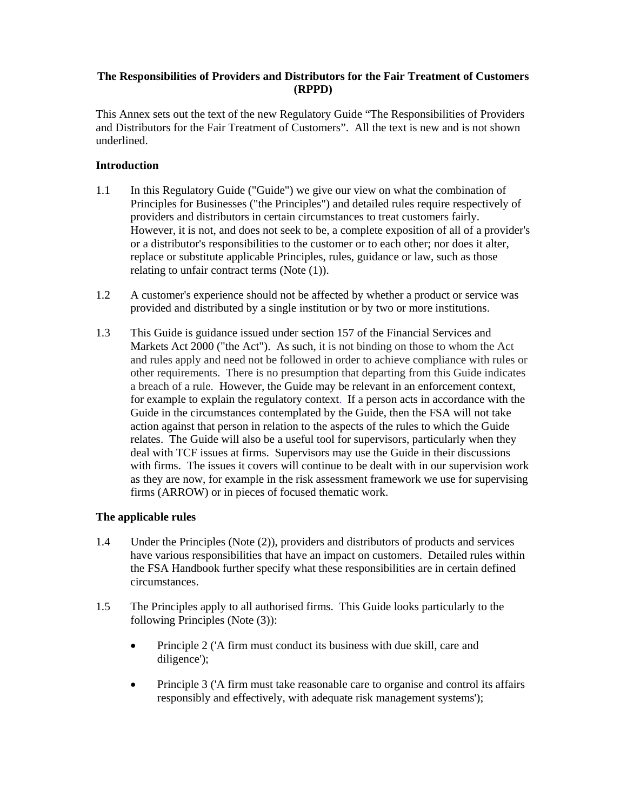# **The Responsibilities of Providers and Distributors for the Fair Treatment of Customers (RPPD)**

This Annex sets out the text of the new Regulatory Guide "The Responsibilities of Providers and Distributors for the Fair Treatment of Customers". All the text is new and is not shown underlined.

# **Introduction**

- 1.1 In this Regulatory Guide ("Guide") we give our view on what the combination of Principles for Businesses ("the Principles") and detailed rules require respectively of providers and distributors in certain circumstances to treat customers fairly. However, it is not, and does not seek to be, a complete exposition of all of a provider's or a distributor's responsibilities to the customer or to each other; nor does it alter, replace or substitute applicable Principles, rules, guidance or law, such as those relating to unfair contract terms (Note (1)).
- 1.2 A customer's experience should not be affected by whether a product or service was provided and distributed by a single institution or by two or more institutions.
- 1.3 This Guide is guidance issued under section 157 of the Financial Services and Markets Act 2000 ("the Act"). As such, it is not binding on those to whom the Act and rules apply and need not be followed in order to achieve compliance with rules or other requirements. There is no presumption that departing from this Guide indicates a breach of a rule. However, the Guide may be relevant in an enforcement context, for example to explain the regulatory context. If a person acts in accordance with the Guide in the circumstances contemplated by the Guide, then the FSA will not take action against that person in relation to the aspects of the rules to which the Guide relates. The Guide will also be a useful tool for supervisors, particularly when they deal with TCF issues at firms. Supervisors may use the Guide in their discussions with firms. The issues it covers will continue to be dealt with in our supervision work as they are now, for example in the risk assessment framework we use for supervising firms (ARROW) or in pieces of focused thematic work.

# **The applicable rules**

- 1.4 Under the Principles (Note (2)), providers and distributors of products and services have various responsibilities that have an impact on customers. Detailed rules within the FSA Handbook further specify what these responsibilities are in certain defined circumstances.
- 1.5 The Principles apply to all authorised firms. This Guide looks particularly to the following Principles (Note (3)):
	- Principle 2 ('A firm must conduct its business with due skill, care and diligence');
	- Principle 3 ('A firm must take reasonable care to organise and control its affairs responsibly and effectively, with adequate risk management systems');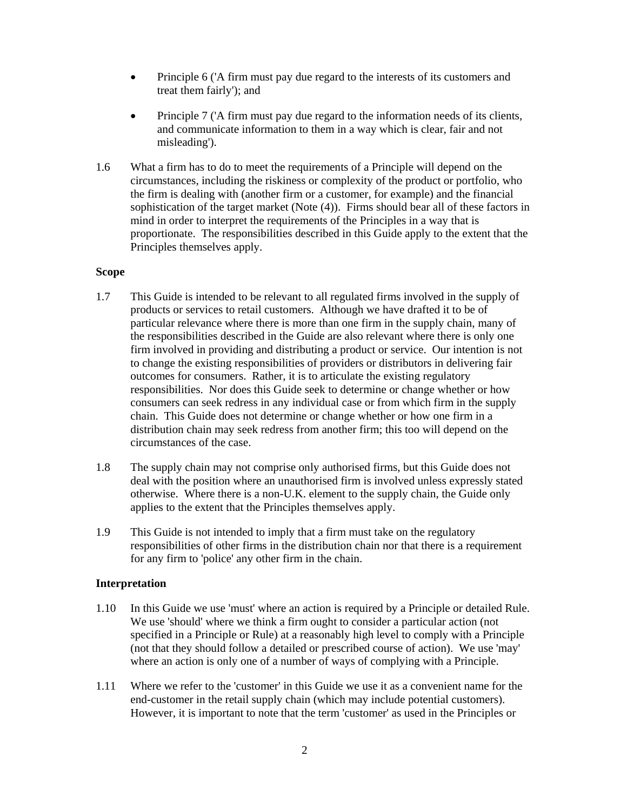- Principle 6 ('A firm must pay due regard to the interests of its customers and treat them fairly'); and
- Principle 7 ('A firm must pay due regard to the information needs of its clients, and communicate information to them in a way which is clear, fair and not misleading').
- 1.6 What a firm has to do to meet the requirements of a Principle will depend on the circumstances, including the riskiness or complexity of the product or portfolio, who the firm is dealing with (another firm or a customer, for example) and the financial sophistication of the target market (Note (4)). Firms should bear all of these factors in mind in order to interpret the requirements of the Principles in a way that is proportionate. The responsibilities described in this Guide apply to the extent that the Principles themselves apply.

## **Scope**

- 1.7 This Guide is intended to be relevant to all regulated firms involved in the supply of products or services to retail customers. Although we have drafted it to be of particular relevance where there is more than one firm in the supply chain, many of the responsibilities described in the Guide are also relevant where there is only one firm involved in providing and distributing a product or service. Our intention is not to change the existing responsibilities of providers or distributors in delivering fair outcomes for consumers. Rather, it is to articulate the existing regulatory responsibilities. Nor does this Guide seek to determine or change whether or how consumers can seek redress in any individual case or from which firm in the supply chain. This Guide does not determine or change whether or how one firm in a distribution chain may seek redress from another firm; this too will depend on the circumstances of the case.
- 1.8 The supply chain may not comprise only authorised firms, but this Guide does not deal with the position where an unauthorised firm is involved unless expressly stated otherwise. Where there is a non-U.K. element to the supply chain, the Guide only applies to the extent that the Principles themselves apply.
- 1.9 This Guide is not intended to imply that a firm must take on the regulatory responsibilities of other firms in the distribution chain nor that there is a requirement for any firm to 'police' any other firm in the chain.

#### **Interpretation**

- 1.10 In this Guide we use 'must' where an action is required by a Principle or detailed Rule. We use 'should' where we think a firm ought to consider a particular action (not specified in a Principle or Rule) at a reasonably high level to comply with a Principle (not that they should follow a detailed or prescribed course of action). We use 'may' where an action is only one of a number of ways of complying with a Principle.
- 1.11 Where we refer to the 'customer' in this Guide we use it as a convenient name for the end-customer in the retail supply chain (which may include potential customers). However, it is important to note that the term 'customer' as used in the Principles or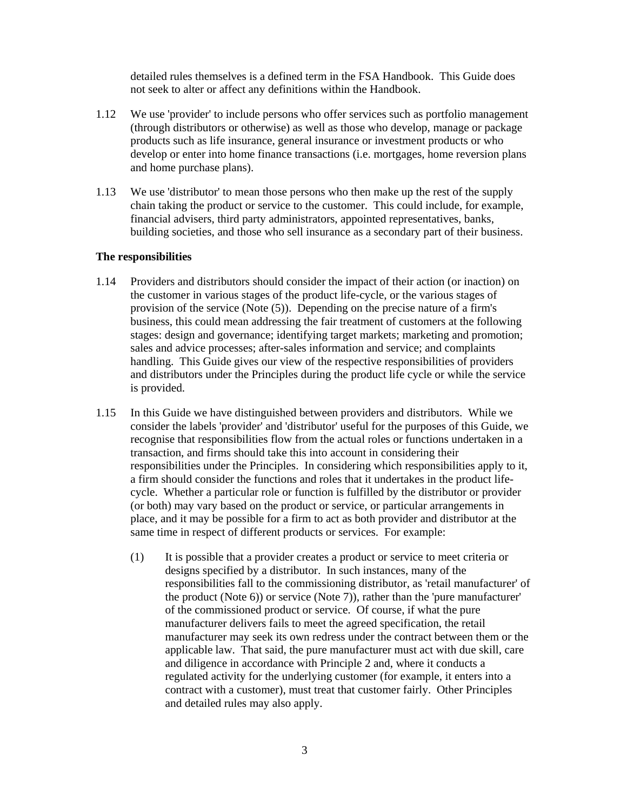detailed rules themselves is a defined term in the FSA Handbook. This Guide does not seek to alter or affect any definitions within the Handbook.

- 1.12 We use 'provider' to include persons who offer services such as portfolio management (through distributors or otherwise) as well as those who develop, manage or package products such as life insurance, general insurance or investment products or who develop or enter into home finance transactions (i.e. mortgages, home reversion plans and home purchase plans).
- 1.13 We use 'distributor' to mean those persons who then make up the rest of the supply chain taking the product or service to the customer. This could include, for example, financial advisers, third party administrators, appointed representatives, banks, building societies, and those who sell insurance as a secondary part of their business.

#### **The responsibilities**

- 1.14 Providers and distributors should consider the impact of their action (or inaction) on the customer in various stages of the product life-cycle, or the various stages of provision of the service (Note (5)). Depending on the precise nature of a firm's business, this could mean addressing the fair treatment of customers at the following stages: design and governance; identifying target markets; marketing and promotion; sales and advice processes; after-sales information and service; and complaints handling. This Guide gives our view of the respective responsibilities of providers and distributors under the Principles during the product life cycle or while the service is provided.
- 1.15 In this Guide we have distinguished between providers and distributors. While we consider the labels 'provider' and 'distributor' useful for the purposes of this Guide, we recognise that responsibilities flow from the actual roles or functions undertaken in a transaction, and firms should take this into account in considering their responsibilities under the Principles. In considering which responsibilities apply to it, a firm should consider the functions and roles that it undertakes in the product lifecycle. Whether a particular role or function is fulfilled by the distributor or provider (or both) may vary based on the product or service, or particular arrangements in place, and it may be possible for a firm to act as both provider and distributor at the same time in respect of different products or services. For example:
	- (1) It is possible that a provider creates a product or service to meet criteria or designs specified by a distributor. In such instances, many of the responsibilities fall to the commissioning distributor, as 'retail manufacturer' of the product (Note 6)) or service (Note 7)), rather than the 'pure manufacturer' of the commissioned product or service. Of course, if what the pure manufacturer delivers fails to meet the agreed specification, the retail manufacturer may seek its own redress under the contract between them or the applicable law. That said, the pure manufacturer must act with due skill, care and diligence in accordance with Principle 2 and, where it conducts a regulated activity for the underlying customer (for example, it enters into a contract with a customer), must treat that customer fairly. Other Principles and detailed rules may also apply.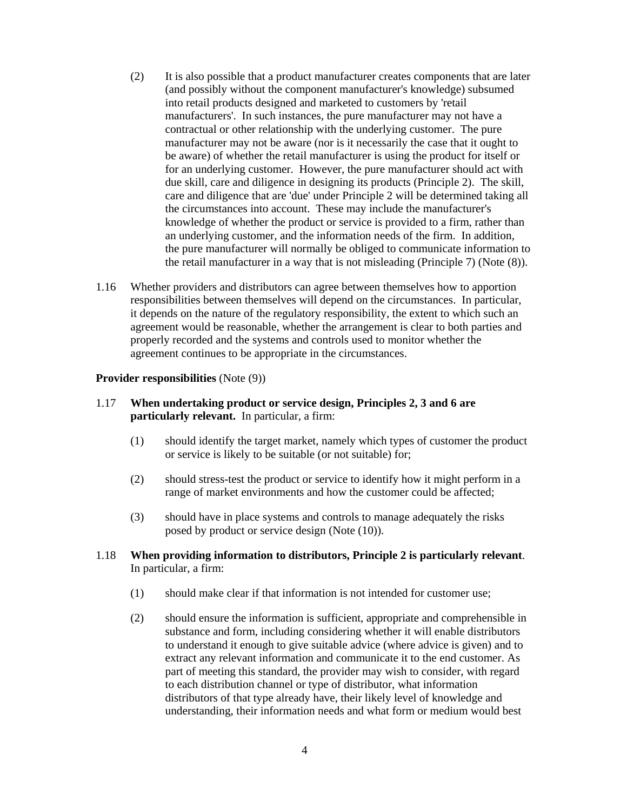- (2) It is also possible that a product manufacturer creates components that are later (and possibly without the component manufacturer's knowledge) subsumed into retail products designed and marketed to customers by 'retail manufacturers'. In such instances, the pure manufacturer may not have a contractual or other relationship with the underlying customer. The pure manufacturer may not be aware (nor is it necessarily the case that it ought to be aware) of whether the retail manufacturer is using the product for itself or for an underlying customer. However, the pure manufacturer should act with due skill, care and diligence in designing its products (Principle 2). The skill, care and diligence that are 'due' under Principle 2 will be determined taking all the circumstances into account. These may include the manufacturer's knowledge of whether the product or service is provided to a firm, rather than an underlying customer, and the information needs of the firm. In addition, the pure manufacturer will normally be obliged to communicate information to the retail manufacturer in a way that is not misleading (Principle 7) (Note (8)).
- 1.16 Whether providers and distributors can agree between themselves how to apportion responsibilities between themselves will depend on the circumstances. In particular, it depends on the nature of the regulatory responsibility, the extent to which such an agreement would be reasonable, whether the arrangement is clear to both parties and properly recorded and the systems and controls used to monitor whether the agreement continues to be appropriate in the circumstances.

#### **Provider responsibilities** (Note (9))

## 1.17 **When undertaking product or service design, Principles 2, 3 and 6 are particularly relevant.** In particular, a firm:

- (1) should identify the target market, namely which types of customer the product or service is likely to be suitable (or not suitable) for;
- (2) should stress-test the product or service to identify how it might perform in a range of market environments and how the customer could be affected;
- (3) should have in place systems and controls to manage adequately the risks posed by product or service design (Note (10)).

## 1.18 **When providing information to distributors, Principle 2 is particularly relevant**. In particular, a firm:

- (1) should make clear if that information is not intended for customer use;
- (2) should ensure the information is sufficient, appropriate and comprehensible in substance and form, including considering whether it will enable distributors to understand it enough to give suitable advice (where advice is given) and to extract any relevant information and communicate it to the end customer. As part of meeting this standard, the provider may wish to consider, with regard to each distribution channel or type of distributor, what information distributors of that type already have, their likely level of knowledge and understanding, their information needs and what form or medium would best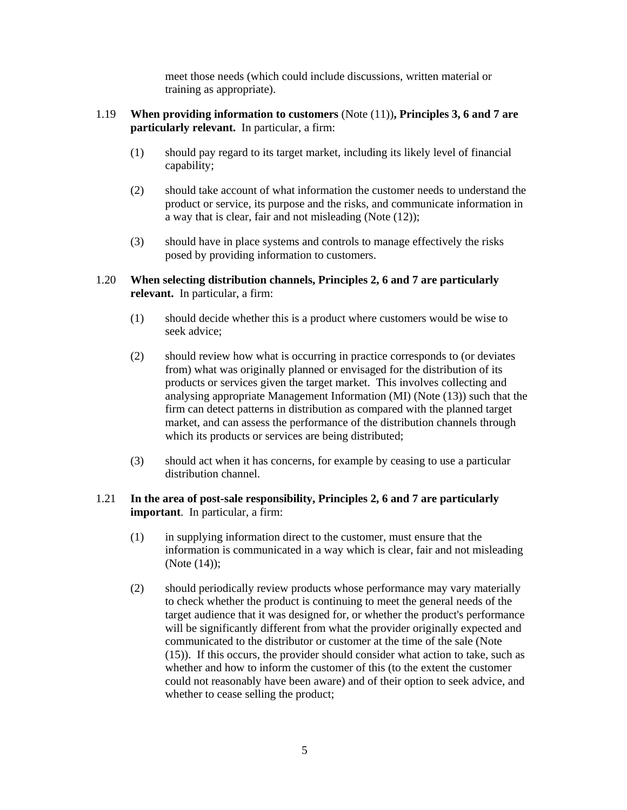meet those needs (which could include discussions, written material or training as appropriate).

- 1.19 **When providing information to customers** (Note (11))**, Principles 3, 6 and 7 are particularly relevant.** In particular, a firm:
	- (1) should pay regard to its target market, including its likely level of financial capability;
	- (2) should take account of what information the customer needs to understand the product or service, its purpose and the risks, and communicate information in a way that is clear, fair and not misleading (Note (12));
	- (3) should have in place systems and controls to manage effectively the risks posed by providing information to customers.

## 1.20 **When selecting distribution channels, Principles 2, 6 and 7 are particularly relevant.** In particular, a firm:

- (1) should decide whether this is a product where customers would be wise to seek advice;
- (2) should review how what is occurring in practice corresponds to (or deviates from) what was originally planned or envisaged for the distribution of its products or services given the target market. This involves collecting and analysing appropriate Management Information (MI) (Note (13)) such that the firm can detect patterns in distribution as compared with the planned target market, and can assess the performance of the distribution channels through which its products or services are being distributed;
- (3) should act when it has concerns, for example by ceasing to use a particular distribution channel.

## 1.21 **In the area of post-sale responsibility, Principles 2, 6 and 7 are particularly important**.In particular, a firm:

- (1) in supplying information direct to the customer, must ensure that the information is communicated in a way which is clear, fair and not misleading (Note (14));
- (2) should periodically review products whose performance may vary materially to check whether the product is continuing to meet the general needs of the target audience that it was designed for, or whether the product's performance will be significantly different from what the provider originally expected and communicated to the distributor or customer at the time of the sale (Note (15)). If this occurs, the provider should consider what action to take, such as whether and how to inform the customer of this (to the extent the customer could not reasonably have been aware) and of their option to seek advice, and whether to cease selling the product;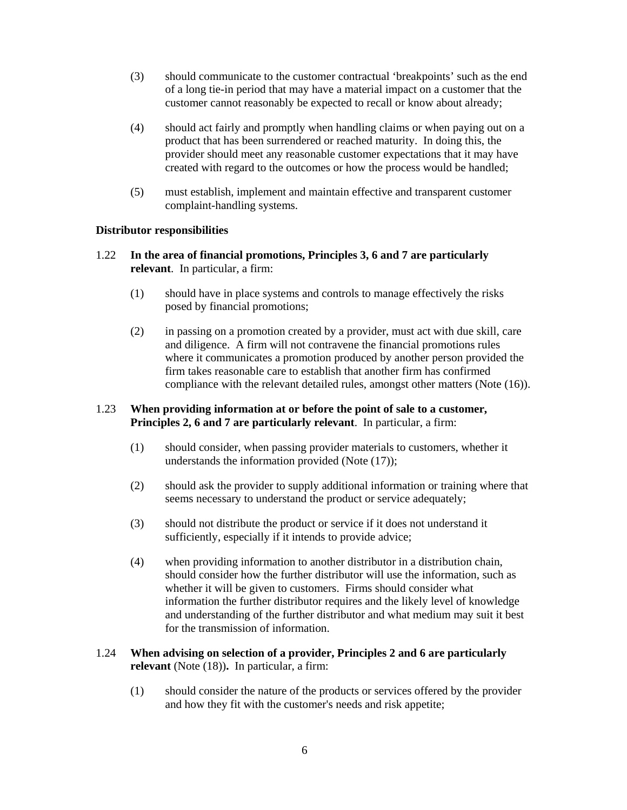- (3) should communicate to the customer contractual 'breakpoints' such as the end of a long tie-in period that may have a material impact on a customer that the customer cannot reasonably be expected to recall or know about already;
- (4) should act fairly and promptly when handling claims or when paying out on a product that has been surrendered or reached maturity. In doing this, the provider should meet any reasonable customer expectations that it may have created with regard to the outcomes or how the process would be handled;
- (5) must establish, implement and maintain effective and transparent customer complaint-handling systems.

## **Distributor responsibilities**

- 1.22 **In the area of financial promotions, Principles 3, 6 and 7 are particularly relevant**. In particular, a firm:
	- (1) should have in place systems and controls to manage effectively the risks posed by financial promotions;
	- (2) in passing on a promotion created by a provider, must act with due skill, care and diligence. A firm will not contravene the financial promotions rules where it communicates a promotion produced by another person provided the firm takes reasonable care to establish that another firm has confirmed compliance with the relevant detailed rules, amongst other matters (Note (16)).

### 1.23 **When providing information at or before the point of sale to a customer, Principles 2, 6 and 7 are particularly relevant**. In particular, a firm:

- (1) should consider, when passing provider materials to customers, whether it understands the information provided (Note (17));
- (2) should ask the provider to supply additional information or training where that seems necessary to understand the product or service adequately;
- (3) should not distribute the product or service if it does not understand it sufficiently, especially if it intends to provide advice;
- (4) when providing information to another distributor in a distribution chain, should consider how the further distributor will use the information, such as whether it will be given to customers. Firms should consider what information the further distributor requires and the likely level of knowledge and understanding of the further distributor and what medium may suit it best for the transmission of information.

## 1.24 **When advising on selection of a provider, Principles 2 and 6 are particularly relevant** (Note (18))**.** In particular, a firm:

(1) should consider the nature of the products or services offered by the provider and how they fit with the customer's needs and risk appetite;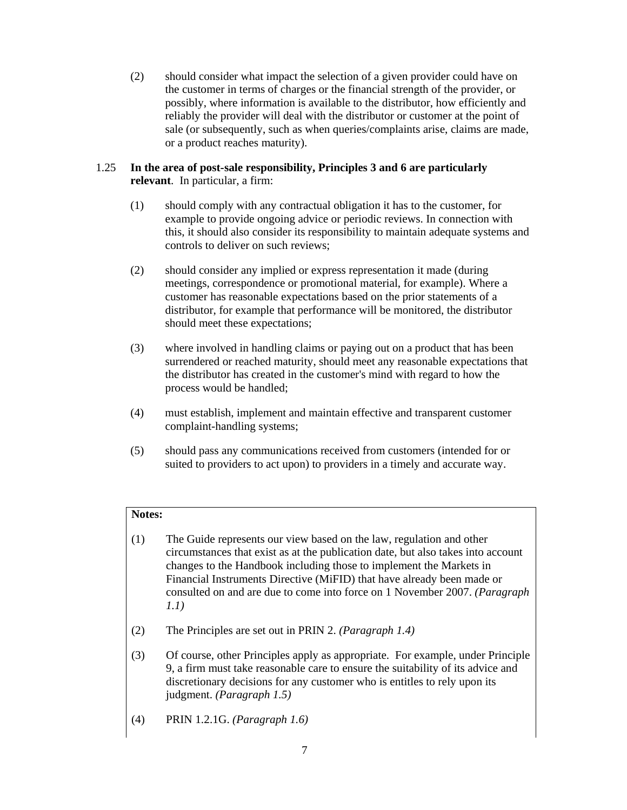(2) should consider what impact the selection of a given provider could have on the customer in terms of charges or the financial strength of the provider, or possibly, where information is available to the distributor, how efficiently and reliably the provider will deal with the distributor or customer at the point of sale (or subsequently, such as when queries/complaints arise, claims are made, or a product reaches maturity).

## 1.25 **In the area of post-sale responsibility, Principles 3 and 6 are particularly relevant**. In particular, a firm:

- (1) should comply with any contractual obligation it has to the customer, for example to provide ongoing advice or periodic reviews. In connection with this, it should also consider its responsibility to maintain adequate systems and controls to deliver on such reviews;
- (2) should consider any implied or express representation it made (during meetings, correspondence or promotional material, for example). Where a customer has reasonable expectations based on the prior statements of a distributor, for example that performance will be monitored, the distributor should meet these expectations;
- (3) where involved in handling claims or paying out on a product that has been surrendered or reached maturity, should meet any reasonable expectations that the distributor has created in the customer's mind with regard to how the process would be handled;
- (4) must establish, implement and maintain effective and transparent customer complaint-handling systems;
- (5) should pass any communications received from customers (intended for or suited to providers to act upon) to providers in a timely and accurate way.

# **Notes:**

- (1) The Guide represents our view based on the law, regulation and other circumstances that exist as at the publication date, but also takes into account changes to the Handbook including those to implement the Markets in Financial Instruments Directive (MiFID) that have already been made or consulted on and are due to come into force on 1 November 2007. *(Paragraph 1.1)*
- (2) The Principles are set out in PRIN 2. *(Paragraph 1.4)*
- (3) Of course, other Principles apply as appropriate. For example, under Principle 9, a firm must take reasonable care to ensure the suitability of its advice and discretionary decisions for any customer who is entitles to rely upon its judgment. *(Paragraph 1.5)*
- (4) PRIN 1.2.1G. *(Paragraph 1.6)*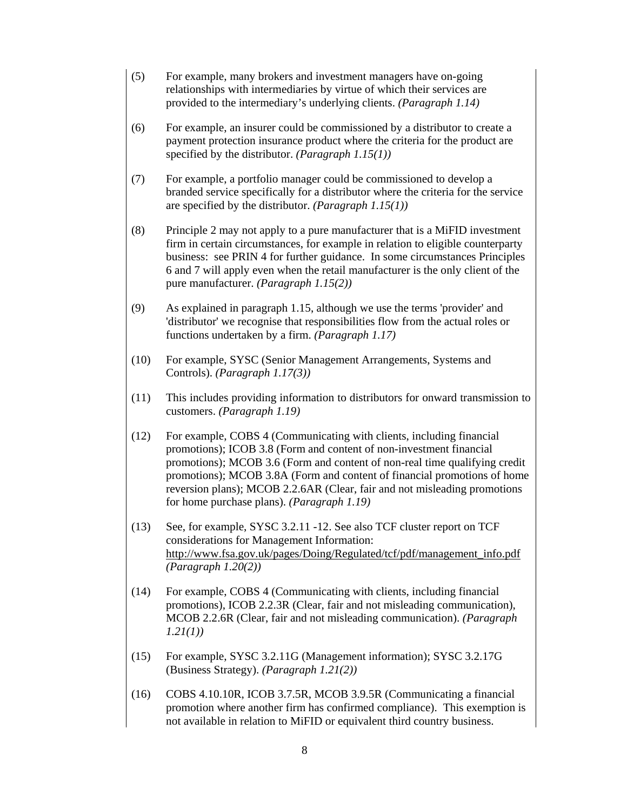- (5) For example, many brokers and investment managers have on-going relationships with intermediaries by virtue of which their services are provided to the intermediary's underlying clients. *(Paragraph 1.14)*
- (6) For example, an insurer could be commissioned by a distributor to create a payment protection insurance product where the criteria for the product are specified by the distributor. *(Paragraph 1.15(1))*
- (7) For example, a portfolio manager could be commissioned to develop a branded service specifically for a distributor where the criteria for the service are specified by the distributor. *(Paragraph 1.15(1))*
- (8) Principle 2 may not apply to a pure manufacturer that is a MiFID investment firm in certain circumstances, for example in relation to eligible counterparty business: see PRIN 4 for further guidance. In some circumstances Principles 6 and 7 will apply even when the retail manufacturer is the only client of the pure manufacturer. *(Paragraph 1.15(2))*
- (9) As explained in paragraph 1.15, although we use the terms 'provider' and 'distributor' we recognise that responsibilities flow from the actual roles or functions undertaken by a firm. *(Paragraph 1.17)*
- (10) For example, SYSC (Senior Management Arrangements, Systems and Controls). *(Paragraph 1.17(3))*
- (11) This includes providing information to distributors for onward transmission to customers. *(Paragraph 1.19)*
- (12) For example, COBS 4 (Communicating with clients, including financial promotions); ICOB 3.8 (Form and content of non-investment financial promotions); MCOB 3.6 (Form and content of non-real time qualifying credit promotions); MCOB 3.8A (Form and content of financial promotions of home reversion plans); MCOB 2.2.6AR (Clear, fair and not misleading promotions for home purchase plans). *(Paragraph 1.19)*
- (13) See, for example, SYSC 3.2.11 -12. See also TCF cluster report on TCF considerations for Management Information: http://www.fsa.gov.uk/pages/Doing/Regulated/tcf/pdf/management\_info.pdf *(Paragraph 1.20(2))*
- (14) For example, COBS 4 (Communicating with clients, including financial promotions), ICOB 2.2.3R (Clear, fair and not misleading communication), MCOB 2.2.6R (Clear, fair and not misleading communication). *(Paragraph 1.21(1))*
- (15) For example, SYSC 3.2.11G (Management information); SYSC 3.2.17G (Business Strategy). *(Paragraph 1.21(2))*
- (16) COBS 4.10.10R, ICOB 3.7.5R, MCOB 3.9.5R (Communicating a financial promotion where another firm has confirmed compliance). This exemption is not available in relation to MiFID or equivalent third country business.